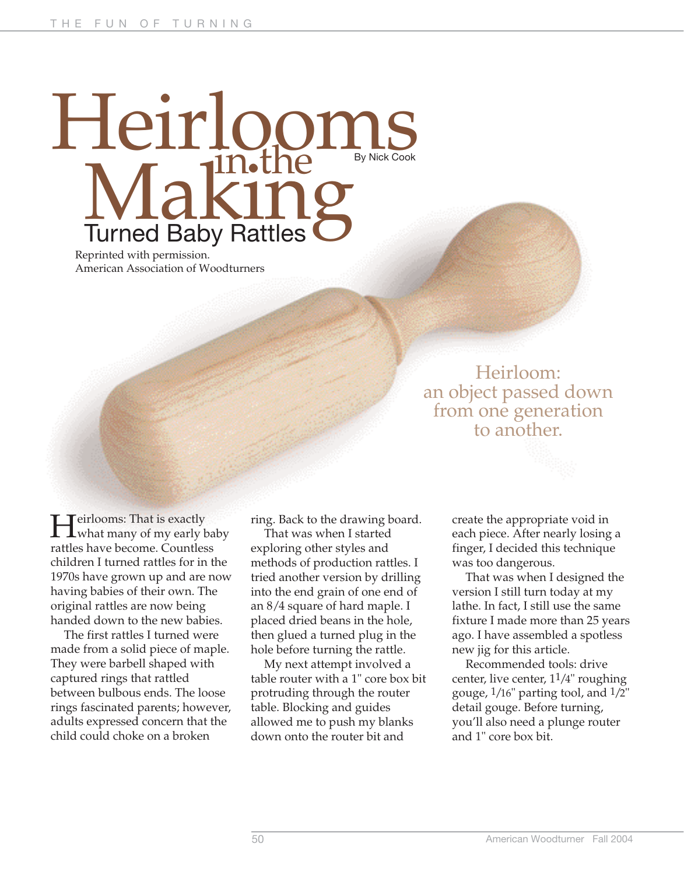# Heirlooms Making in the Turned Baby Rattles

Reprinted with permission. American Association of Woodturners

# Heirloom: an object passed down from one generation to another.

**H**eirlooms: That is exactly<br>what many of my early baby rattles have become. Countless children I turned rattles for in the 1970s have grown up and are now having babies of their own. The original rattles are now being handed down to the new babies.

The first rattles I turned were made from a solid piece of maple. They were barbell shaped with captured rings that rattled between bulbous ends. The loose rings fascinated parents; however, adults expressed concern that the child could choke on a broken

ring. Back to the drawing board.

That was when I started exploring other styles and methods of production rattles. I tried another version by drilling into the end grain of one end of an 8/4 square of hard maple. I placed dried beans in the hole, then glued a turned plug in the hole before turning the rattle.

My next attempt involved a table router with a 1" core box bit protruding through the router table. Blocking and guides allowed me to push my blanks down onto the router bit and

create the appropriate void in each piece. After nearly losing a finger, I decided this technique was too dangerous.

That was when I designed the version I still turn today at my lathe. In fact, I still use the same fixture I made more than 25 years ago. I have assembled a spotless new jig for this article.

Recommended tools: drive center, live center,  $1<sup>1</sup>/4$ " roughing gouge,  $1/16$ " parting tool, and  $1/2$ " detail gouge. Before turning, you'll also need a plunge router and 1" core box bit.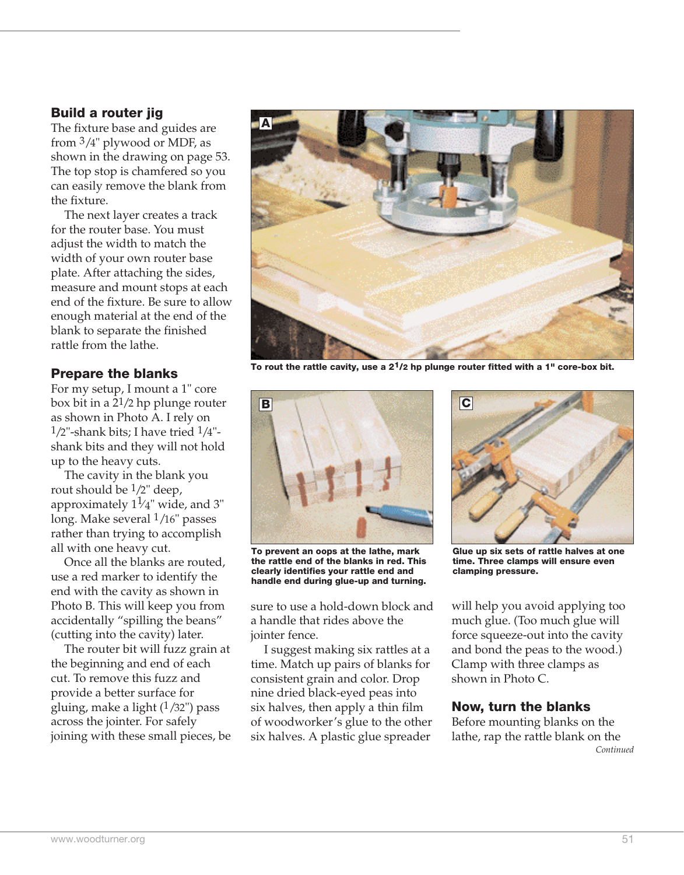#### **Build a router jig**

The fixture base and guides are from 3/4" plywood or MDF, as shown in the drawing on page 53. The top stop is chamfered so you can easily remove the blank from the fixture.

The next layer creates a track for the router base. You must adjust the width to match the width of your own router base plate. After attaching the sides, measure and mount stops at each end of the fixture. Be sure to allow enough material at the end of the blank to separate the finished rattle from the lathe.

## **Prepare the blanks**

For my setup, I mount a 1" core box bit in a 21/2 hp plunge router as shown in Photo A. I rely on  $1/2$ "-shank bits; I have tried  $1/4$ "shank bits and they will not hold up to the heavy cuts.

The cavity in the blank you rout should be  $1/2$ " deep, approximately  $1\frac{1}{4}$ " wide, and 3" long. Make several 1/16" passes rather than trying to accomplish all with one heavy cut.

Once all the blanks are routed, use a red marker to identify the end with the cavity as shown in Photo B. This will keep you from accidentally "spilling the beans" (cutting into the cavity) later.

The router bit will fuzz grain at the beginning and end of each cut. To remove this fuzz and provide a better surface for gluing, make a light  $(1/32)$ " pass across the jointer. For safely joining with these small pieces, be



**To rout the rattle cavity, use a 21/2 hp plunge router fitted with a 1" core-box bit.**



**To prevent an oops at the lathe, mark the rattle end of the blanks in red. This clearly identifies your rattle end and handle end during glue-up and turning.**

sure to use a hold-down block and a handle that rides above the jointer fence.

I suggest making six rattles at a time. Match up pairs of blanks for consistent grain and color. Drop nine dried black-eyed peas into six halves, then apply a thin film of woodworker's glue to the other six halves. A plastic glue spreader



**Glue up six sets of rattle halves at one time. Three clamps will ensure even clamping pressure.**

will help you avoid applying too much glue. (Too much glue will force squeeze-out into the cavity and bond the peas to the wood.) Clamp with three clamps as shown in Photo C.

#### **Now, turn the blanks**

Before mounting blanks on the lathe, rap the rattle blank on the *Continued*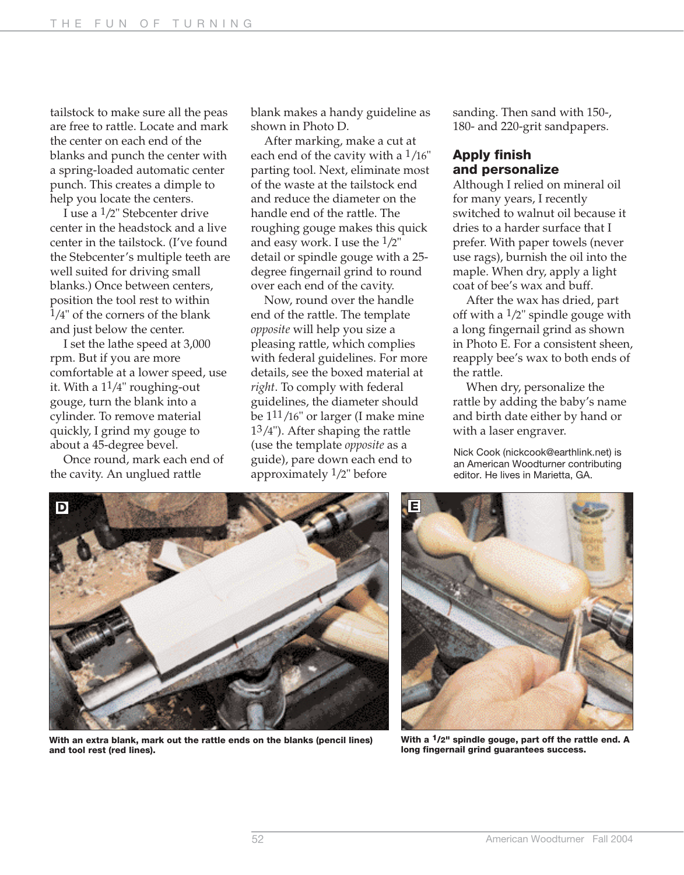tailstock to make sure all the peas are free to rattle. Locate and mark the center on each end of the blanks and punch the center with a spring-loaded automatic center punch. This creates a dimple to help you locate the centers.

I use a 1/2" Stebcenter drive center in the headstock and a live center in the tailstock. (I've found the Stebcenter's multiple teeth are well suited for driving small blanks.) Once between centers, position the tool rest to within  $1/4$ " of the corners of the blank and just below the center.

I set the lathe speed at 3,000 rpm. But if you are more comfortable at a lower speed, use it. With a 11/4" roughing-out gouge, turn the blank into a cylinder. To remove material quickly, I grind my gouge to about a 45-degree bevel.

Once round, mark each end of the cavity. An unglued rattle

blank makes a handy guideline as shown in Photo D.

After marking, make a cut at each end of the cavity with a  $1/16$ " parting tool. Next, eliminate most of the waste at the tailstock end and reduce the diameter on the handle end of the rattle. The roughing gouge makes this quick and easy work. I use the 1/2" detail or spindle gouge with a 25 degree fingernail grind to round over each end of the cavity.

Now, round over the handle end of the rattle. The template *opposite* will help you size a pleasing rattle, which complies with federal guidelines. For more details, see the boxed material at *right*. To comply with federal guidelines, the diameter should be 111/16" or larger (I make mine 13/4"). After shaping the rattle (use the template *opposite* as a guide), pare down each end to approximately  $1/2$ " before

sanding. Then sand with 150-, 180- and 220-grit sandpapers.

#### **Apply finish and personalize**

Although I relied on mineral oil for many years, I recently switched to walnut oil because it dries to a harder surface that I prefer. With paper towels (never use rags), burnish the oil into the maple. When dry, apply a light coat of bee's wax and buff.

After the wax has dried, part off with a  $1/2$ " spindle gouge with a long fingernail grind as shown in Photo E. For a consistent sheen, reapply bee's wax to both ends of the rattle.

When dry, personalize the rattle by adding the baby's name and birth date either by hand or with a laser engraver.

Nick Cook (nickcook@earthlink.net) is an American Woodturner contributing editor. He lives in Marietta, GA.



**With an extra blank, mark out the rattle ends on the blanks (pencil lines) and tool rest (red lines).**



**With a 1/2" spindle gouge, part off the rattle end. A long fingernail grind guarantees success.**